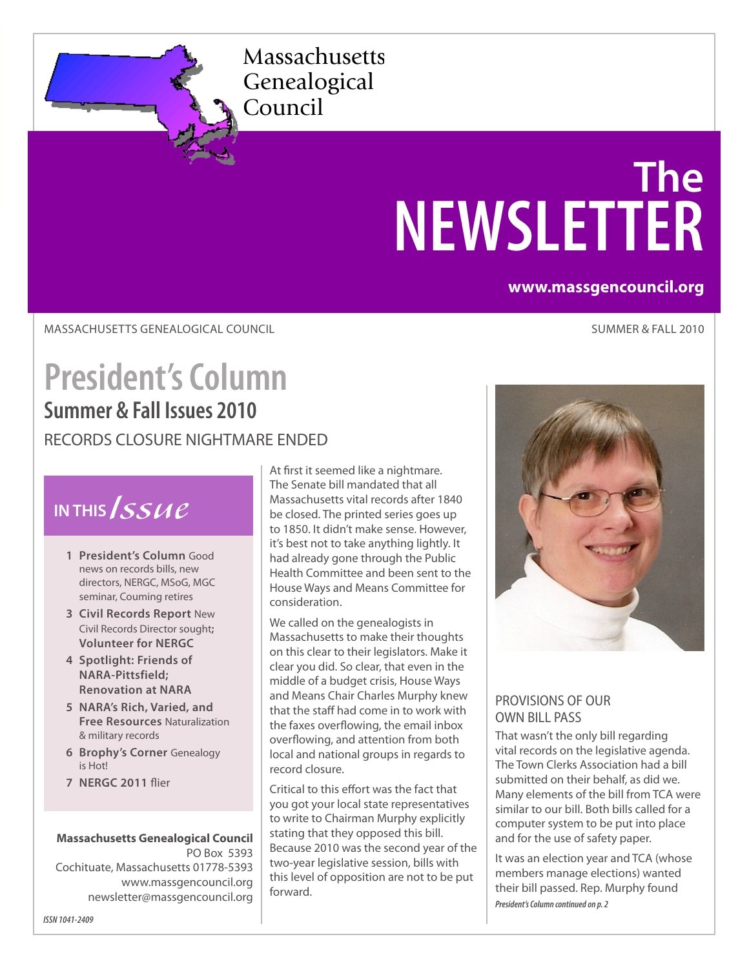Massachusetts Genealogical Council

# **The NEWSLETTER**

#### **www.massgencouncil.org**

MASSACHUSETTS GENEALOGICAL COUNCIL

SUMMER & FALL 2010

### **President's Column Summer & Fall Issues 2010** RECORDS CLOSURE NIGHTMARE ENDED

### **IN THIS***Issue*

- **1 President's Column** Good news on records bills, new directors, NERGC, MSoG, MGC seminar, Couming retires
- **3 Civil Records Report** New Civil Records Director sought**; Volunteer for NERGC**
- **4 Spotlight: Friends of NARA-Pittsfield; Renovation at NARA**
- **5 NARA's Rich, Varied, and Free Resources** Naturalization & military records
- **6 Brophy's Corner** Genealogy is Hot!
- **7 NERGC 2011** flier

**Massachusetts Genealogical Council** PO Box 5393 Cochituate, Massachusetts 01778-5393 <www.massgencouncil.org> [newsletter@massgencouncil.org](mailto:newsletter%40massgencouncil.org?subject=)

At first it seemed like a nightmare. The Senate bill mandated that all Massachusetts vital records after 1840 be closed. The printed series goes up to 1850. It didn't make sense. However, it's best not to take anything lightly. It had already gone through the Public Health Committee and been sent to the House Ways and Means Committee for consideration.

We called on the genealogists in Massachusetts to make their thoughts on this clear to their legislators. Make it clear you did. So clear, that even in the middle of a budget crisis, House Ways and Means Chair Charles Murphy knew that the staff had come in to work with the faxes overflowing, the email inbox overflowing, and attention from both local and national groups in regards to record closure.

Critical to this effort was the fact that you got your local state representatives to write to Chairman Murphy explicitly stating that they opposed this bill. Because 2010 was the second year of the two-year legislative session, bills with this level of opposition are not to be put forward.



#### PROVISIONS OF OUR OWN BILL PASS

That wasn't the only bill regarding vital records on the legislative agenda. The Town Clerks Association had a bill submitted on their behalf, as did we. Many elements of the bill from TCA were similar to our bill. Both bills called for a computer system to be put into place and for the use of safety paper.

It was an election year and TCA (whose members manage elections) wanted their bill passed. Rep. Murphy found *President's Column continued on p. 2*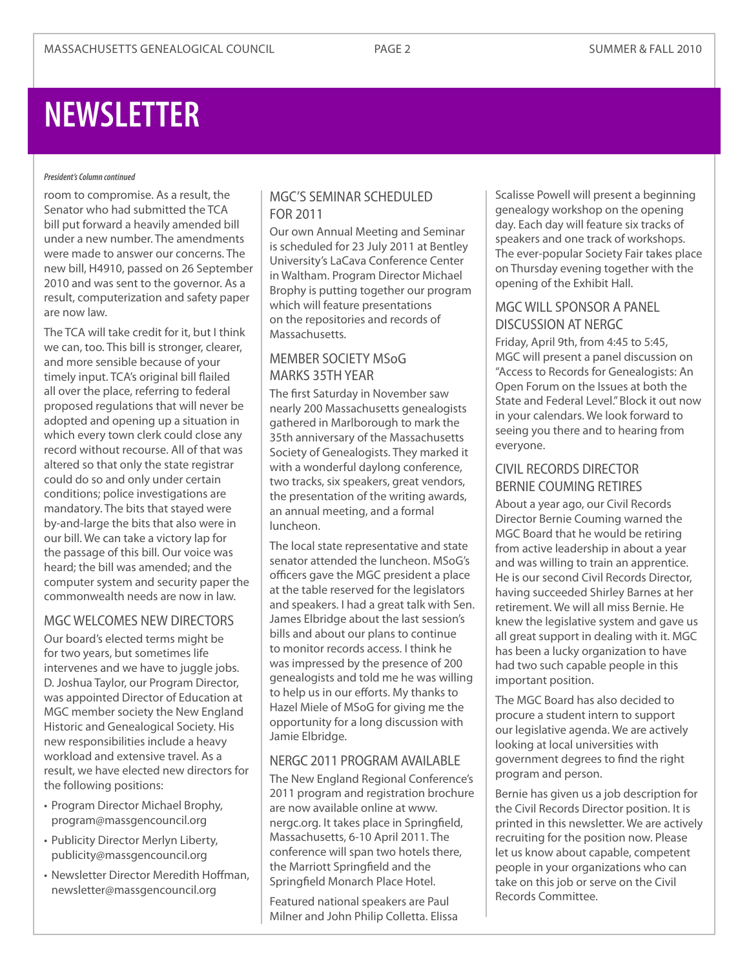## **NEWSLETTER**

#### *President's Column continued*

room to compromise. As a result, the Senator who had submitted the TCA bill put forward a heavily amended bill under a new number. The amendments were made to answer our concerns. The new bill, H4910, passed on 26 September 2010 and was sent to the governor. As a result, computerization and safety paper are now law.

The TCA will take credit for it, but I think we can, too. This bill is stronger, clearer, and more sensible because of your timely input. TCA's original bill flailed all over the place, referring to federal proposed regulations that will never be adopted and opening up a situation in which every town clerk could close any record without recourse. All of that was altered so that only the state registrar could do so and only under certain conditions; police investigations are mandatory. The bits that stayed were by-and-large the bits that also were in our bill. We can take a victory lap for the passage of this bill. Our voice was heard; the bill was amended; and the computer system and security paper the commonwealth needs are now in law.

#### MGC WELCOMES NEW DIRECTORS

Our board's elected terms might be for two years, but sometimes life intervenes and we have to juggle jobs. D. Joshua Taylor, our Program Director, was appointed Director of Education at MGC member society the New England Historic and Genealogical Society. His new responsibilities include a heavy workload and extensive travel. As a result, we have elected new directors for the following positions:

- • Program Director Michael Brophy, [program@massgencouncil.org](mailto:program%40massgencouncil.org?subject=)
- Publicity Director Merlyn Liberty, [publicity@massgencouncil.org](mailto:publicity%40massgencouncil.org?subject=)
- • Newsletter Director Meredith Hoffman, [newsletter@massgencouncil.org](mailto:newsletter%40massgencouncil.org?subject=)

#### MGC'S SEMINAR SCHEDULED FOR 2011

Our own Annual Meeting and Seminar is scheduled for 23 July 2011 at Bentley University's LaCava Conference Center in Waltham. Program Director Michael Brophy is putting together our program which will feature presentations on the repositories and records of Massachusetts.

#### MEMBER SOCIETY MSoG MARKS 35TH YEAR

The first Saturday in November saw nearly 200 Massachusetts genealogists gathered in Marlborough to mark the 35th anniversary of the Massachusetts Society of Genealogists. They marked it with a wonderful daylong conference, two tracks, six speakers, great vendors, the presentation of the writing awards, an annual meeting, and a formal luncheon.

The local state representative and state senator attended the luncheon. MSoG's officers gave the MGC president a place at the table reserved for the legislators and speakers. I had a great talk with Sen. James Elbridge about the last session's bills and about our plans to continue to monitor records access. I think he was impressed by the presence of 200 genealogists and told me he was willing to help us in our efforts. My thanks to Hazel Miele of MSoG for giving me the opportunity for a long discussion with Jamie Elbridge.

#### NERGC 2011 PROGRAM AVAILABLE

The New England Regional Conference's 2011 program and registration brochure are now available online at [www.](http://www.nergc.org) [nergc.org](http://www.nergc.org). It takes place in Springfield, Massachusetts, 6-10 April 2011. The conference will span two hotels there, the Marriott Springfield and the Springfield Monarch Place Hotel.

Featured national speakers are Paul Milner and John Philip Colletta. Elissa

Scalisse Powell will present a beginning genealogy workshop on the opening day. Each day will feature six tracks of speakers and one track of workshops. The ever-popular Society Fair takes place on Thursday evening together with the opening of the Exhibit Hall.

#### MGC WILL SPONSOR A PANEL DISCUSSION AT NERGC

Friday, April 9th, from 4:45 to 5:45, MGC will present a panel discussion on "Access to Records for Genealogists: An Open Forum on the Issues at both the State and Federal Level." Block it out now in your calendars. We look forward to seeing you there and to hearing from everyone.

#### CIVIL RECORDS DIRECTOR BERNIE COUMING RETIRES

About a year ago, our Civil Records Director Bernie Couming warned the MGC Board that he would be retiring from active leadership in about a year and was willing to train an apprentice. He is our second Civil Records Director, having succeeded Shirley Barnes at her retirement. We will all miss Bernie. He knew the legislative system and gave us all great support in dealing with it. MGC has been a lucky organization to have had two such capable people in this important position.

The MGC Board has also decided to procure a student intern to support our legislative agenda. We are actively looking at local universities with government degrees to find the right program and person.

Bernie has given us a job description for the Civil Records Director position. It is printed in this newsletter. We are actively recruiting for the position now. Please let us know about capable, competent people in your organizations who can take on this job or serve on the Civil Records Committee.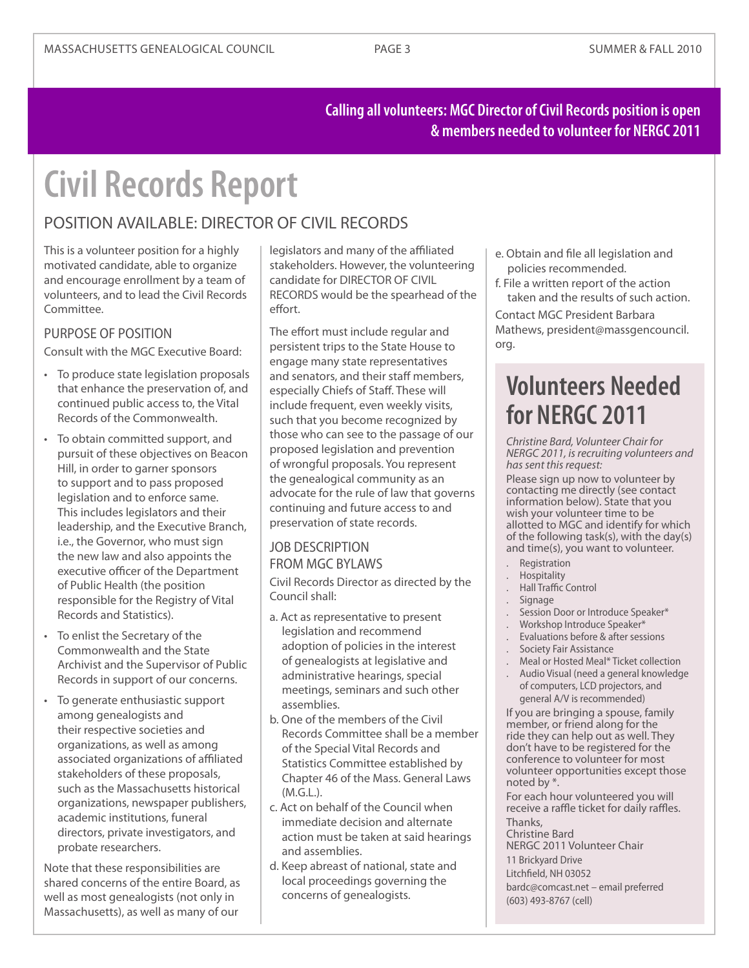#### **Calling all volunteers: MGC Director of Civil Records position is open & members needed to volunteer for NERGC 2011**

## **Civil Records Report**

#### POSITION AVAILABLE: DIRECTOR OF CIVIL RECORDS

This is a volunteer position for a highly motivated candidate, able to organize and encourage enrollment by a team of volunteers, and to lead the Civil Records Committee.

#### PURPOSE OF POSITION

Consult with the MGC Executive Board:

- To produce state legislation proposals that enhance the preservation of, and continued public access to, the Vital Records of the Commonwealth.
- • To obtain committed support, and pursuit of these objectives on Beacon Hill, in order to garner sponsors to support and to pass proposed legislation and to enforce same. This includes legislators and their leadership, and the Executive Branch, i.e., the Governor, who must sign the new law and also appoints the executive officer of the Department of Public Health (the position responsible for the Registry of Vital Records and Statistics).
- • To enlist the Secretary of the Commonwealth and the State Archivist and the Supervisor of Public Records in support of our concerns.
- • To generate enthusiastic support among genealogists and their respective societies and organizations, as well as among associated organizations of affiliated stakeholders of these proposals, such as the Massachusetts historical organizations, newspaper publishers, academic institutions, funeral directors, private investigators, and probate researchers.

Note that these responsibilities are shared concerns of the entire Board, as well as most genealogists (not only in Massachusetts), as well as many of our

legislators and many of the affiliated stakeholders. However, the volunteering candidate for DIRECTOR OF CIVIL RECORDS would be the spearhead of the effort.

The effort must include regular and persistent trips to the State House to engage many state representatives and senators, and their staff members, especially Chiefs of Staff. These will include frequent, even weekly visits, such that you become recognized by those who can see to the passage of our proposed legislation and prevention of wrongful proposals. You represent the genealogical community as an advocate for the rule of law that governs continuing and future access to and preservation of state records.

#### JOB DESCRIPTION FROM MGC BYLAWS

Civil Records Director as directed by the Council shall:

- a. Act as representative to present legislation and recommend adoption of policies in the interest of genealogists at legislative and administrative hearings, special meetings, seminars and such other assemblies.
- b. One of the members of the Civil Records Committee shall be a member of the Special Vital Records and Statistics Committee established by Chapter 46 of the Mass. General Laws  $(M \cap L)$
- c. Act on behalf of the Council when immediate decision and alternate action must be taken at said hearings and assemblies.
- d. Keep abreast of national, state and local proceedings governing the concerns of genealogists.
- e. Obtain and file all legislation and policies recommended.
- f. File a written report of the action taken and the results of such action.

Contact MGC President Barbara Mathews, [president@massgencouncil.](mailto:president%40massgencouncil.org?subject=) [org](mailto:president%40massgencouncil.org?subject=).

### **Volunteers Needed for NERGC 2011**

*Christine Bard, Volunteer Chair for NERGC 2011, is recruiting volunteers and has sent this request:* 

Please sign up now to volunteer by contacting me directly (see contact information below). State that you wish your volunteer time to be allotted to MGC and identify for which of the following task(s), with the day(s) and time(s), you want to volunteer.

- . Registration
- . Hospitality
- . Hall Traffic Control
- . Signage
- Session Door or Introduce Speaker\*
- . Workshop Introduce Speaker\*
- . Evaluations before & after sessions
- . Society Fair Assistance
- . Meal or Hosted Meal\* Ticket collection . Audio Visual (need a general knowledge

of computers, LCD projectors, and general A/V is recommended)

If you are bringing a spouse, family member, or friend along for the ride they can help out as well. They don't have to be registered for the conference to volunteer for most volunteer opportunities except those noted by \*.

For each hour volunteered you will receive a raffle ticket for daily raffles. Thanks,

Christine Bard

NERGC 2011 Volunteer Chair 11 Brickyard Drive Litchfield, NH 03052 [bardc@comcast.net](mailto:bardc%40comcast.net?subject=volunteering%20for%20NERGC%202011) – email preferred (603) 493-8767 (cell)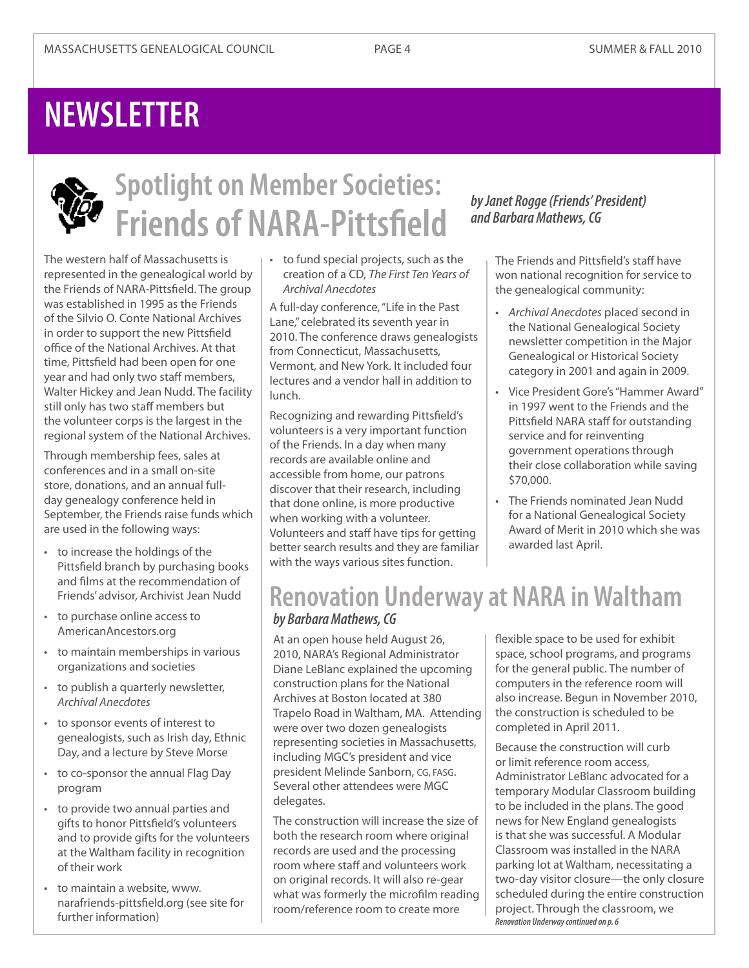## **NEWSLETTER**



## **Spotlight on Member Societies: Friends of NARA-Pittsfield** *and Barbara Mathews, CG*

The western half of Massachusetts is represented in the genealogical world by the Friends of NARA-Pittsfield. The group was established in 1995 as the Friends of the Silvio O. Conte National Archives in order to support the new Pittsfield office of the National Archives. At that time, Pittsfield had been open for one year and had only two staff members, Walter Hickey and Jean Nudd. The facility still only has two staff members but the volunteer corps is the largest in the regional system of the National Archives.

Through membership fees, sales at conferences and in a small on-site store, donations, and an annual fullday genealogy conference held in September, the Friends raise funds which are used in the following ways:

- • to increase the holdings of the Pittsfield branch by purchasing books and films at the recommendation of Friends' advisor, Archivist Jean Nudd
- • to purchase online access to AmericanAncestors.org
- • to maintain memberships in various organizations and societies
- • to publish a quarterly newsletter, *Archival Anecdotes*
- • to sponsor events of interest to genealogists, such as Irish day, Ethnic Day, and a lecture by Steve Morse
- to co-sponsor the annual Flag Day program
- • to provide two annual parties and gifts to honor Pittsfield's volunteers and to provide gifts for the volunteers at the Waltham facility in recognition of their work
- • to maintain a website, [www.](http://www.narafriends-pittsfield.org) [narafriends-pittsfield.org](http://www.narafriends-pittsfield.org) (see site for further information)

• to fund special projects, such as the creation of a CD, *The First Ten Years of Archival Anecdotes*

A full-day conference, "Life in the Past Lane," celebrated its seventh year in 2010. The conference draws genealogists from Connecticut, Massachusetts, Vermont, and New York. It included four lectures and a vendor hall in addition to lunch.

Recognizing and rewarding Pittsfield's volunteers is a very important function of the Friends. In a day when many records are available online and accessible from home, our patrons discover that their research, including that done online, is more productive when working with a volunteer. Volunteers and staff have tips for getting better search results and they are familiar with the ways various sites function.

*and Barbara Mathews, CG*

The Friends and Pittsfield's staff have won national recognition for service to the genealogical community:

- • *Archival Anecdotes* placed second in the National Genealogical Society newsletter competition in the Major Genealogical or Historical Society category in 2001 and again in 2009.
- • Vice President Gore's"Hammer Award" in 1997 went to the Friends and the Pittsfield NARA staff for outstanding service and for reinventing government operations through their close collaboration while saving \$70,000.
- The Friends nominated Jean Nudd for a National Genealogical Society Award of Merit in 2010 which she was awarded last April.

### **Renovation Underway at NARA in Waltham** *by Barbara Mathews, CG*

At an open house held August 26, 2010, NARA's Regional Administrator Diane LeBlanc explained the upcoming construction plans for the National Archives at Boston located at 380 Trapelo Road in Waltham, MA. Attending were over two dozen genealogists representing societies in Massachusetts, including MGC's president and vice president Melinde Sanborn, CG, FASG. Several other attendees were MGC delegates.

The construction will increase the size of both the research room where original records are used and the processing room where staff and volunteers work on original records. It will also re-gear what was formerly the microfilm reading room/reference room to create more

flexible space to be used for exhibit space, school programs, and programs for the general public. The number of computers in the reference room will also increase. Begun in November 2010, the construction is scheduled to be completed in April 2011.

Because the construction will curb or limit reference room access, Administrator LeBlanc advocated for a temporary Modular Classroom building to be included in the plans. The good news for New England genealogists is that she was successful. A Modular Classroom was installed in the NARA parking lot at Waltham, necessitating a two-day visitor closure—the only closure scheduled during the entire construction project. Through the classroom, we *Renovation Underway continued on p. 6*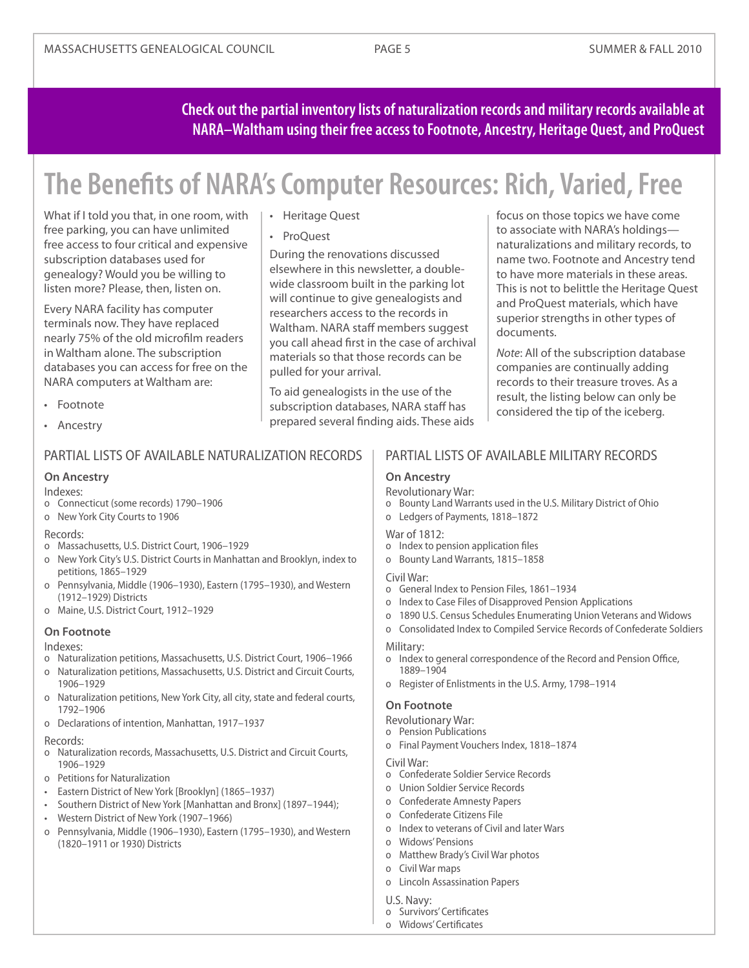**Check out the partial inventory lists of naturalization records and military records available at NARA–Waltham using their free access to Footnote, Ancestry, Heritage Quest, and ProQuest**

## **The Benefits of NARA's Computer Resources: Rich, Varied, Free**

What if I told you that, in one room, with free parking, you can have unlimited free access to four critical and expensive subscription databases used for genealogy? Would you be willing to listen more? Please, then, listen on.

Every NARA facility has computer terminals now. They have replaced nearly 75% of the old microfilm readers in Waltham alone. The subscription databases you can access for free on the NARA computers at Waltham are:

- • Footnote
- • Ancestry

#### PARTIAL LISTS OF AVAILABLE NATURALIZATION RECORDS

#### **On Ancestry**

#### Indexes:

- o Connecticut (some records) 1790–1906
- o New York City Courts to 1906

#### Records:

- o Massachusetts, U.S. District Court, 1906–1929
- o New York City's U.S. District Courts in Manhattan and Brooklyn, index to petitions, 1865–1929
- o Pennsylvania, Middle (1906–1930), Eastern (1795–1930), and Western (1912–1929) Districts
- o Maine, U.S. District Court, 1912–1929

#### **On Footnote**

#### Indexes:

- o Naturalization petitions, Massachusetts, U.S. District Court, 1906–1966
- o Naturalization petitions, Massachusetts, U.S. District and Circuit Courts, 1906–1929
- o Naturalization petitions, New York City, all city, state and federal courts, 1792–1906
- o Declarations of intention, Manhattan, 1917–1937

#### Records:

- o Naturalization records, Massachusetts, U.S. District and Circuit Courts, 1906–1929
- o Petitions for Naturalization
- • Eastern District of NewYork [Brooklyn] (1865–1937)
- Southern District of New York [Manhattan and Bronx] (1897–1944);
- Western District of New York (1907-1966)
- o Pennsylvania, Middle (1906–1930), Eastern (1795–1930), and Western (1820–1911 or 1930) Districts

#### • Heritage Quest

• ProQuest

During the renovations discussed elsewhere in this newsletter, a doublewide classroom built in the parking lot will continue to give genealogists and researchers access to the records in Waltham. NARA staff members suggest you call ahead first in the case of archival materials so that those records can be pulled for your arrival.

To aid genealogists in the use of the subscription databases, NARA staff has prepared several finding aids. These aids focus on those topics we have come to associate with NARA's holdings naturalizations and military records, to name two. Footnote and Ancestry tend to have more materials in these areas. This is not to belittle the Heritage Quest and ProQuest materials, which have superior strengths in other types of documents.

*Note*: All of the subscription database companies are continually adding records to their treasure troves. As a result, the listing below can only be considered the tip of the iceberg.

#### PARTIAL LISTS OF AVAILABLE MILITARY RECORDS

#### **On Ancestry**

#### Revolutionary War:

- o Bounty Land Warrants used in the U.S. Military District of Ohio
- o Ledgers of Payments, 1818–1872

#### War of 1812:

- o Index to pension application files
- o Bounty Land Warrants, 1815–1858

#### Civil War:

- o General Index to Pension Files, 1861–1934
- o Index to Case Files of Disapproved Pension Applications
- o 1890 U.S. Census Schedules Enumerating Union Veterans and Widows
- o Consolidated Index to Compiled Service Records of Confederate Soldiers

#### Military:

- o Index to general correspondence of the Record and Pension Office, 1889–1904
- o Register of Enlistments in the U.S. Army, 1798–1914

#### **On Footnote**

- Revolutionary War:
- o Pension Publications
- o Final Payment Vouchers Index, 1818–1874

#### Civil War:

- o Confederate Soldier Service Records
- o Union Soldier Service Records
- o Confederate Amnesty Papers
- o Confederate Citizens File
- o Index to veterans of Civil and later Wars
- o Widows' Pensions
- o Matthew Brady's Civil War photos
- o Civil War maps
- o Lincoln Assassination Papers

#### U.S. Navy:

- o Survivors' Certificates
- o Widows' Certificates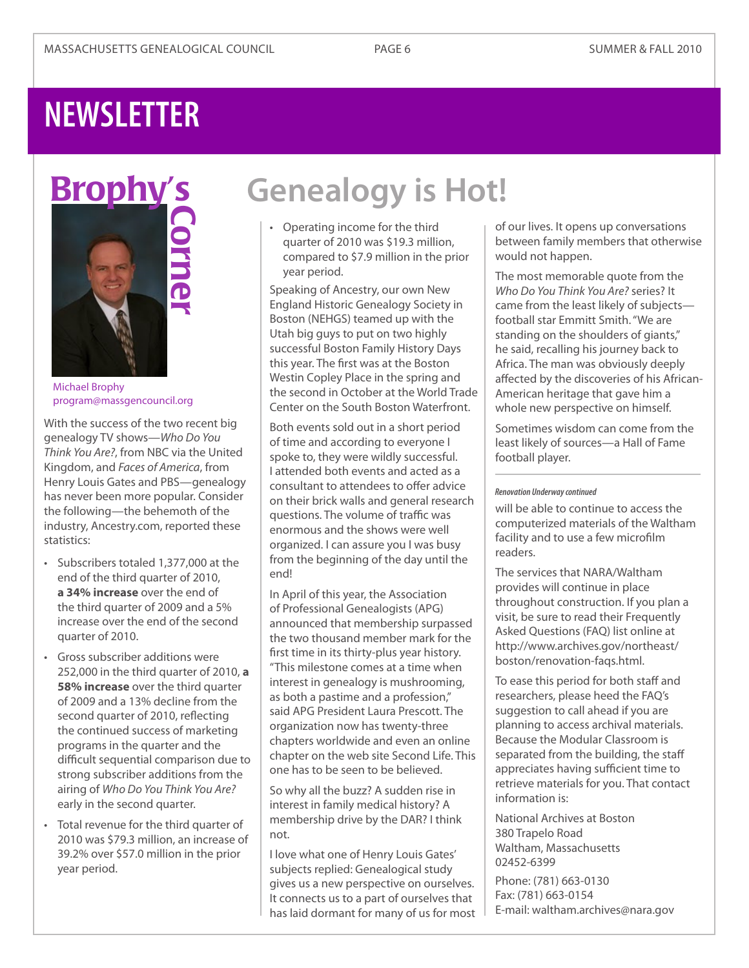## **NEWSLETTER**



Michael Brophy [program@massgencouncil.org](mailto:program%40massgencouncil.org?subject=)

With the success of the two recent big genealogy TV shows—*Who Do You Think You Are?*, from NBC via the United Kingdom, and *Faces of America*, from Henry Louis Gates and PBS—genealogy has never been more popular. Consider the following—the behemoth of the industry, Ancestry.com, reported these statistics:

- • Subscribers totaled 1,377,000 at the end of the third quarter of 2010, **a 34% increase** over the end of the third quarter of 2009 and a 5% increase over the end of the second quarter of 2010.
- • Gross subscriber additions were 252,000 in the third quarter of 2010, **a 58% increase** over the third quarter of 2009 and a 13% decline from the second quarter of 2010, reflecting the continued success of marketing programs in the quarter and the difficult sequential comparison due to strong subscriber additions from the airing of *Who Do You Think You Are?* early in the second quarter.
- • Total revenue for the third quarter of 2010 was \$79.3 million, an increase of 39.2% over \$57.0 million in the prior year period.

## **Genealogy is Hot!**

• Operating income for the third quarter of 2010 was \$19.3 million, compared to \$7.9 million in the prior year period.

Speaking of Ancestry, our own New England Historic Genealogy Society in Boston (NEHGS) teamed up with the Utah big guys to put on two highly successful Boston Family History Days this year. The first was at the Boston Westin Copley Place in the spring and the second in October at the World Trade Center on the South Boston Waterfront.

Both events sold out in a short period of time and according to everyone I spoke to, they were wildly successful. I attended both events and acted as a consultant to attendees to offer advice on their brick walls and general research questions. The volume of traffic was enormous and the shows were well organized. I can assure you I was busy from the beginning of the day until the end!

In April of this year, the Association of Professional Genealogists (APG) announced that membership surpassed the two thousand member mark for the first time in its thirty-plus year history. "This milestone comes at a time when interest in genealogy is mushrooming, as both a pastime and a profession," said APG President Laura Prescott. The organization now has twenty-three chapters worldwide and even an online chapter on the web site Second Life. This one has to be seen to be believed.

So why all the buzz? A sudden rise in interest in family medical history? A membership drive by the DAR? I think not.

I love what one of Henry Louis Gates' subjects replied: Genealogical study gives us a new perspective on ourselves. It connects us to a part of ourselves that has laid dormant for many of us for most

of our lives. It opens up conversations between family members that otherwise would not happen.

The most memorable quote from the *Who Do You Think You Are?* series? It came from the least likely of subjects football star Emmitt Smith. "We are standing on the shoulders of giants," he said, recalling his journey back to Africa. The man was obviously deeply affected by the discoveries of his African-American heritage that gave him a whole new perspective on himself.

Sometimes wisdom can come from the least likely of sources—a Hall of Fame football player.

#### *Renovation Underway continued*

will be able to continue to access the computerized materials of the Waltham facility and to use a few microfilm readers.

The services that NARA/Waltham provides will continue in place throughout construction. If you plan a visit, be sure to read their Frequently Asked Questions (FAQ) list online at [http://www.archives.gov/northeast/](http://www.archives.gov/northeast/boston/renovation-faqs.html) [boston/renovation-faqs.html](http://www.archives.gov/northeast/boston/renovation-faqs.html).

To ease this period for both staff and researchers, please heed the FAQ's suggestion to call ahead if you are planning to access archival materials. Because the Modular Classroom is separated from the building, the staff appreciates having sufficient time to retrieve materials for you. That contact information is:

National Archives at Boston 380 Trapelo Road Waltham, Massachusetts 02452-6399

Phone: (781) 663-0130 Fax: (781) 663-0154 E-mail: [waltham.archives@nara.gov](mailto:waltham.archives%40nara.gov?subject=)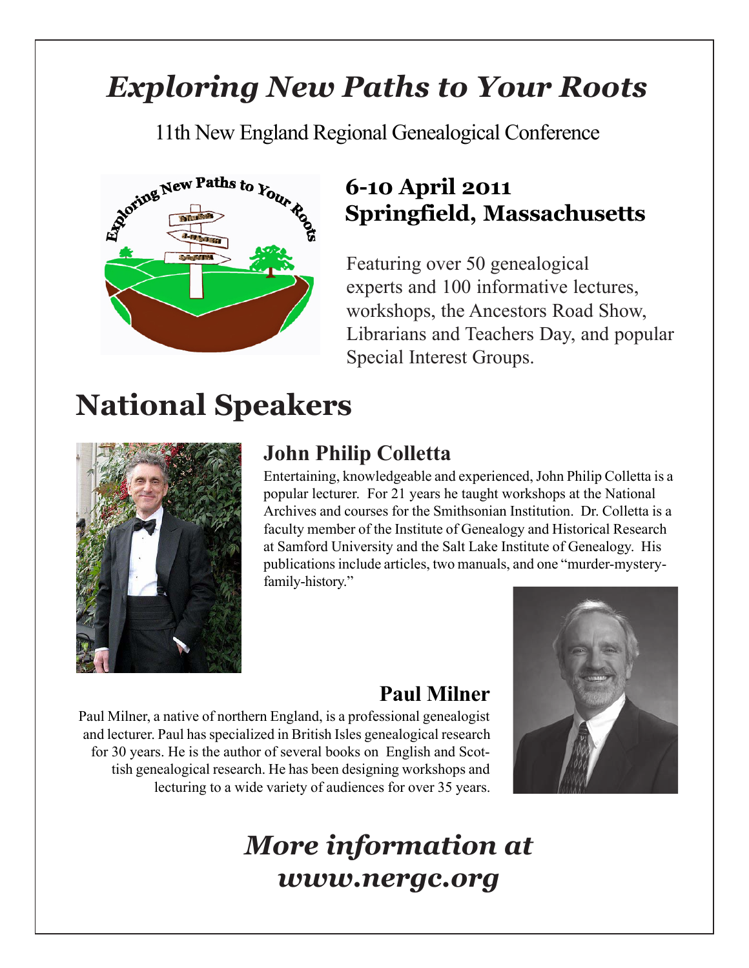### *Exploring New Paths to Your Roots*

11th New England Regional Genealogical Conference



### **6-10 April 2011 Springfield, Massachusetts**

Featuring over 50 genealogical experts and 100 informative lectures, workshops, the Ancestors Road Show, Librarians and Teachers Day, and popular Special Interest Groups.

## **National Speakers**



### **John Philip Colletta**

Entertaining, knowledgeable and experienced, John Philip Colletta is a popular lecturer. For 21 years he taught workshops at the National Archives and courses for the Smithsonian Institution. Dr. Colletta is a faculty member of the Institute of Genealogy and Historical Research at Samford University and the Salt Lake Institute of Genealogy. His publications include articles, two manuals, and one "murder-mysteryfamily-history."

### **Paul Milner**

Paul Milner, a native of northern England, is a professional genealogist and lecturer. Paul has specialized in British Isles genealogical research for 30 years. He is the author of several books on English and Scottish genealogical research. He has been designing workshops and lecturing to a wide variety of audiences for over 35 years.



### *More information at www.nergc.org*